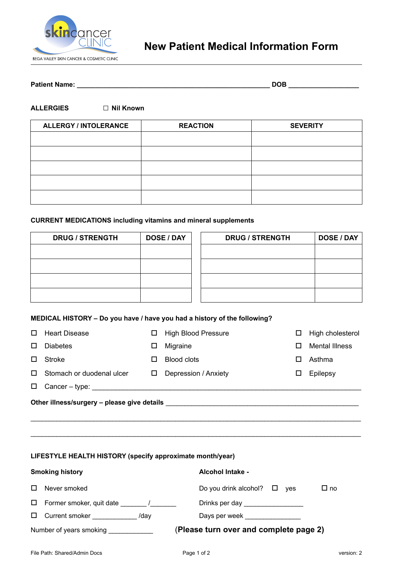

# **New Patient Medical Information Form**

### **Patient Name: \_\_\_\_\_\_\_\_\_\_\_\_\_\_\_\_\_\_\_\_\_\_\_\_\_\_\_\_\_\_\_\_\_\_\_\_\_\_\_\_\_\_\_\_\_\_\_\_\_\_\_\_ DOB \_\_\_\_\_\_\_\_\_\_\_\_\_\_\_\_\_\_\_**

#### **ALLERGIES □ Nil Known**

| <b>ALLERGY / INTOLERANCE</b> | <b>REACTION</b> | <b>SEVERITY</b> |
|------------------------------|-----------------|-----------------|
|                              |                 |                 |
|                              |                 |                 |
|                              |                 |                 |
|                              |                 |                 |
|                              |                 |                 |

#### **CURRENT MEDICATIONS including vitamins and mineral supplements**

| <b>DRUG / STRENGTH</b> | <b>DOSE / DAY</b> | <b>DRUG / STRENGTH</b> | <b>DOSE / DAY</b> |
|------------------------|-------------------|------------------------|-------------------|
|                        |                   |                        |                   |
|                        |                   |                        |                   |
|                        |                   |                        |                   |
|                        |                   |                        |                   |
|                        |                   |                        |                   |

### **MEDICAL HISTORY – Do you have / have you had a history of the following?**

| П.                                          | <b>Heart Disease</b>                                                                                                                                                                                                           | □ | <b>High Blood Pressure</b> | □ | High cholesterol |  |
|---------------------------------------------|--------------------------------------------------------------------------------------------------------------------------------------------------------------------------------------------------------------------------------|---|----------------------------|---|------------------|--|
| $\Box$                                      | <b>Diabetes</b>                                                                                                                                                                                                                | □ | Migraine                   |   | Mental Illness   |  |
| П.                                          | Stroke                                                                                                                                                                                                                         | ப | Blood clots                |   | Asthma           |  |
| $\Box$                                      | Stomach or duodenal ulcer                                                                                                                                                                                                      | □ | Depression / Anxiety       |   | Epilepsy         |  |
| $\Box$                                      | Cancer – type: the contract of the contract of the contract of the contract of the contract of the contract of the contract of the contract of the contract of the contract of the contract of the contract of the contract of |   |                            |   |                  |  |
| Other illness/surgery - please give details |                                                                                                                                                                                                                                |   |                            |   |                  |  |

 $\_$  , and the set of the set of the set of the set of the set of the set of the set of the set of the set of the set of the set of the set of the set of the set of the set of the set of the set of the set of the set of th

 $\mathcal{L}_\text{max}$  , and the contribution of the contribution of the contribution of the contribution of the contribution of the contribution of the contribution of the contribution of the contribution of the contribution of t

**LIFESTYLE HEALTH HISTORY (specify approximate month/year)** 

|        | <b>Smoking history</b>                            | <b>Alcohol Intake -</b>                                                                                                                                                                                                        |
|--------|---------------------------------------------------|--------------------------------------------------------------------------------------------------------------------------------------------------------------------------------------------------------------------------------|
| $\Box$ | Never smoked                                      | Do you drink alcohol? $\Box$ yes<br>$\square$ no                                                                                                                                                                               |
| $\Box$ | Former smoker, quit date former smoker, quit date | Drinks per day _________________                                                                                                                                                                                               |
| $\Box$ | Current smoker <b>Example 20</b><br>/day          | Days per week and the property of the property of the property of the property of the property of the property of the property of the property of the property of the property of the property of the property of the property |
|        | Number of years smoking                           | (Please turn over and complete page 2)                                                                                                                                                                                         |